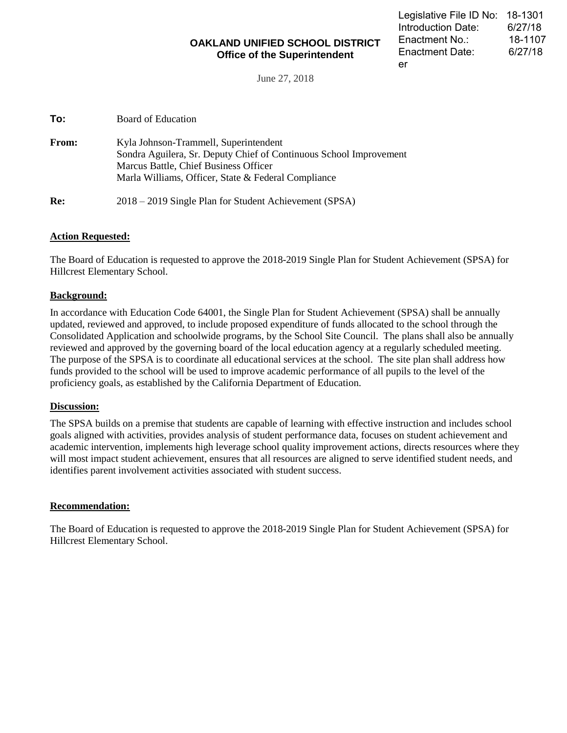## **OAKLAND UNIFIED SCHOOL DISTRICT Office of the Superintendent**

June 27, 2018

| To: | Board of Education |
|-----|--------------------|
|-----|--------------------|

| <b>From:</b> | Kyla Johnson-Trammell, Superintendent<br>Sondra Aguilera, Sr. Deputy Chief of Continuous School Improvement<br>Marcus Battle, Chief Business Officer<br>Marla Williams, Officer, State & Federal Compliance |
|--------------|-------------------------------------------------------------------------------------------------------------------------------------------------------------------------------------------------------------|
| Re:          | 2018 – 2019 Single Plan for Student Achievement (SPSA)                                                                                                                                                      |

#### **Action Requested:**

The Board of Education is requested to approve the 2018-2019 Single Plan for Student Achievement (SPSA) for Hillcrest Elementary School.

### **Background:**

In accordance with Education Code 64001, the Single Plan for Student Achievement (SPSA) shall be annually updated, reviewed and approved, to include proposed expenditure of funds allocated to the school through the Consolidated Application and schoolwide programs, by the School Site Council. The plans shall also be annually reviewed and approved by the governing board of the local education agency at a regularly scheduled meeting. The purpose of the SPSA is to coordinate all educational services at the school. The site plan shall address how funds provided to the school will be used to improve academic performance of all pupils to the level of the proficiency goals, as established by the California Department of Education.

#### **Discussion:**

The SPSA builds on a premise that students are capable of learning with effective instruction and includes school goals aligned with activities, provides analysis of student performance data, focuses on student achievement and academic intervention, implements high leverage school quality improvement actions, directs resources where they will most impact student achievement, ensures that all resources are aligned to serve identified student needs, and identifies parent involvement activities associated with student success.

#### **Recommendation:**

The Board of Education is requested to approve the 2018-2019 Single Plan for Student Achievement (SPSA) for Hillcrest Elementary School.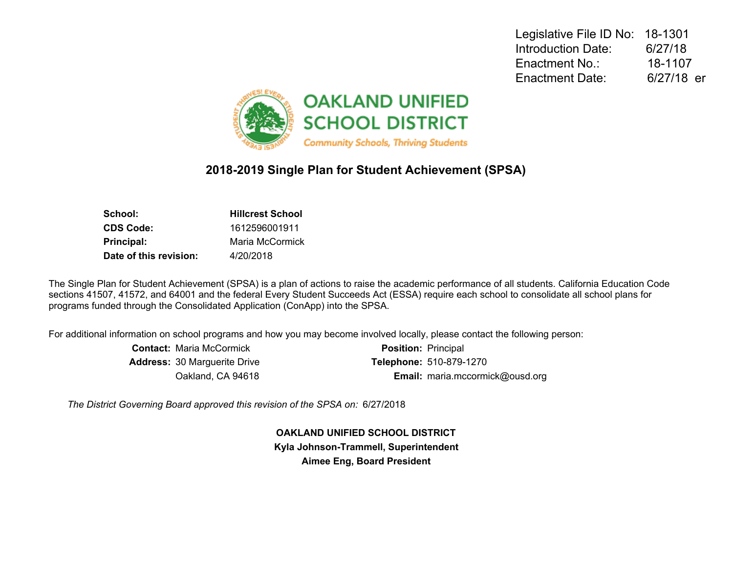Legislative File ID No: 18-1301 Introduction Date: 6/27/18 Enactment No.: 18-1107 Enactment Date: 6/27/18 er



# **2018-2019 Single Plan for Student Achievement (SPSA)**

| School:                | <b>Hillcrest School</b> |
|------------------------|-------------------------|
| CDS Code:              | 1612596001911           |
| Principal:             | Maria McCormick         |
| Date of this revision: | 4/20/2018               |

The Single Plan for Student Achievement (SPSA) is a plan of actions to raise the academic performance of all students. California Education Code sections 41507, 41572, and 64001 and the federal Every Student Succeeds Act (ESSA) require each school to consolidate all school plans for programs funded through the Consolidated Application (ConApp) into the SPSA.

For additional information on school programs and how you may become involved locally, please contact the following person:

| <b>Contact: Maria McCormick</b>     | <b>Position: Principal</b>      |
|-------------------------------------|---------------------------------|
| <b>Address: 30 Marguerite Drive</b> | <b>Telephone: 510-879-1270</b>  |
| Oakland, CA 94618                   | Email: maria.mccormick@ousd.org |

*The District Governing Board approved this revision of the SPSA on:* 6/27/2018

**OAKLAND UNIFIED SCHOOL DISTRICT Kyla Johnson-Trammell, Superintendent Aimee Eng, Board President**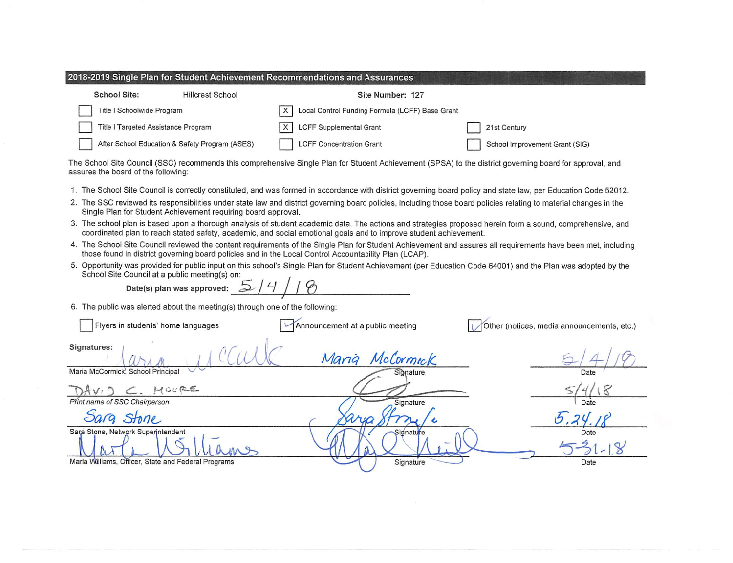| 2018-2019 Single Plan for Student Achievement Recommendations and Assurances |                                                |                                                      |  |                                |
|------------------------------------------------------------------------------|------------------------------------------------|------------------------------------------------------|--|--------------------------------|
| <b>School Site:</b>                                                          | <b>Hillcrest School</b>                        | Site Number: 127                                     |  |                                |
| Title I Schoolwide Program                                                   |                                                | Local Control Funding Formula (LCFF) Base Grant<br>х |  |                                |
| Title I Targeted Assistance Program                                          |                                                | LCFF Supplemental Grant                              |  | 21st Century                   |
|                                                                              | After School Education & Safety Program (ASES) | <b>LCFF Concentration Grant</b>                      |  | School Improvement Grant (SIG) |

The School Site Council (SSC) recommends this comprehensive Single Plan for Student Achievement (SPSA) to the district governing board for approval, and assures the board of the following:

- 1. The School Site Council is correctly constituted, and was formed in accordance with district governing board policy and state law, per Education Code 52012.
- 2. The SSC reviewed its responsibilities under state law and district governing board policies, including those board policies relating to material changes in the Single Plan for Student Achievement requiring board approval.
- 3. The school plan is based upon a thorough analysis of student academic data. The actions and strategies proposed herein form a sound, comprehensive, and coordinated plan to reach stated safety, academic, and social emotional goals and to improve student achievement.
- 4. The School Site Council reviewed the content requirements of the Single Plan for Student Achievement and assures all requirements have been met, including those found in district governing board policies and in the Local Control Accountability Plan (LCAP).
- 5. Opportunity was provided for public input on this school's Single Plan for Student Achievement (per Education Code 64001) and the Plan was adopted by the School Site Council at a public meeting(s) on:

 $\overline{4}$ Date(s) plan was approved:  $\overline{2}$ 

6. The public was alerted about the meeting(s) through one of the following:

| Flyers in students' home languages                  | Announcement at a public meeting | Other (notices, media announcements, etc.) |
|-----------------------------------------------------|----------------------------------|--------------------------------------------|
| Signatures:                                         | McCormick                        |                                            |
| Maria McCormick, School Principal                   | Signature                        | Date                                       |
| $2.$ MOVEE                                          |                                  |                                            |
| Print name of SSC Chairperson                       | Signature                        | Date                                       |
| Sarg Stone                                          |                                  |                                            |
| Sara Stone, Network Superintendent                  | Signature                        | Date                                       |
| Marla Williams, Officer, State and Federal Programs | Signature                        | Date                                       |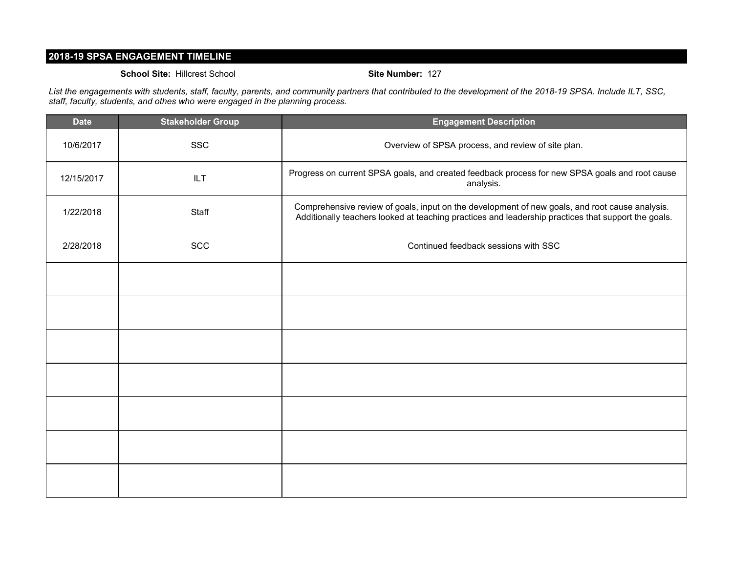## **2018-19 SPSA ENGAGEMENT TIMELINE**

#### **School Site:** Hillcrest School **Site Number:** 127

*List the engagements with students, staff, faculty, parents, and community partners that contributed to the development of the 2018-19 SPSA. Include ILT, SSC, staff, faculty, students, and othes who were engaged in the planning process.*

| <b>Date</b> | <b>Stakeholder Group</b> | <b>Engagement Description</b>                                                                                                                                                                         |
|-------------|--------------------------|-------------------------------------------------------------------------------------------------------------------------------------------------------------------------------------------------------|
| 10/6/2017   | <b>SSC</b>               | Overview of SPSA process, and review of site plan.                                                                                                                                                    |
| 12/15/2017  | <b>ILT</b>               | Progress on current SPSA goals, and created feedback process for new SPSA goals and root cause<br>analysis.                                                                                           |
| 1/22/2018   | Staff                    | Comprehensive review of goals, input on the development of new goals, and root cause analysis.<br>Additionally teachers looked at teaching practices and leadership practices that support the goals. |
| 2/28/2018   | <b>SCC</b>               | Continued feedback sessions with SSC                                                                                                                                                                  |
|             |                          |                                                                                                                                                                                                       |
|             |                          |                                                                                                                                                                                                       |
|             |                          |                                                                                                                                                                                                       |
|             |                          |                                                                                                                                                                                                       |
|             |                          |                                                                                                                                                                                                       |
|             |                          |                                                                                                                                                                                                       |
|             |                          |                                                                                                                                                                                                       |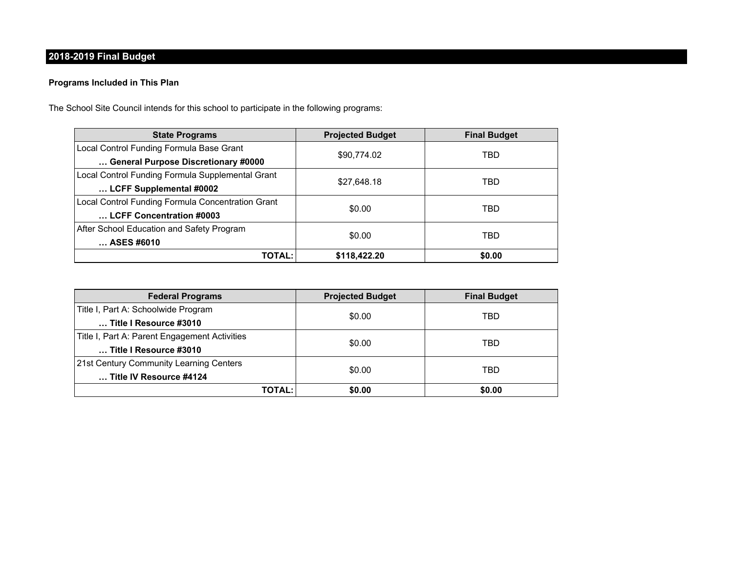# **2018-2019 Final Budget**

### **Programs Included in This Plan**

The School Site Council intends for this school to participate in the following programs:

| <b>State Programs</b>                             | <b>Projected Budget</b> | <b>Final Budget</b> |
|---------------------------------------------------|-------------------------|---------------------|
| Local Control Funding Formula Base Grant          | \$90,774.02             | TBD                 |
| General Purpose Discretionary #0000               |                         |                     |
| Local Control Funding Formula Supplemental Grant  | \$27,648.18             | TBD                 |
| LCFF Supplemental #0002                           |                         |                     |
| Local Control Funding Formula Concentration Grant | \$0.00                  | TBD                 |
| LCFF Concentration #0003                          |                         |                     |
| After School Education and Safety Program         |                         | TBD                 |
| ASES #6010                                        | \$0.00                  |                     |
| <b>TOTAL:</b>                                     | \$118,422.20            | \$0.00              |

| <b>Federal Programs</b>                       | <b>Projected Budget</b> | <b>Final Budget</b> |  |
|-----------------------------------------------|-------------------------|---------------------|--|
| Title I, Part A: Schoolwide Program           |                         |                     |  |
| Title I Resource #3010                        | \$0.00                  | TBD                 |  |
| Title I, Part A: Parent Engagement Activities |                         | TBD                 |  |
| Title I Resource #3010                        | \$0.00                  |                     |  |
| 21st Century Community Learning Centers       | \$0.00                  | TBD                 |  |
| Title IV Resource #4124                       |                         |                     |  |
| TOTAL:                                        | \$0.00                  | \$0.00              |  |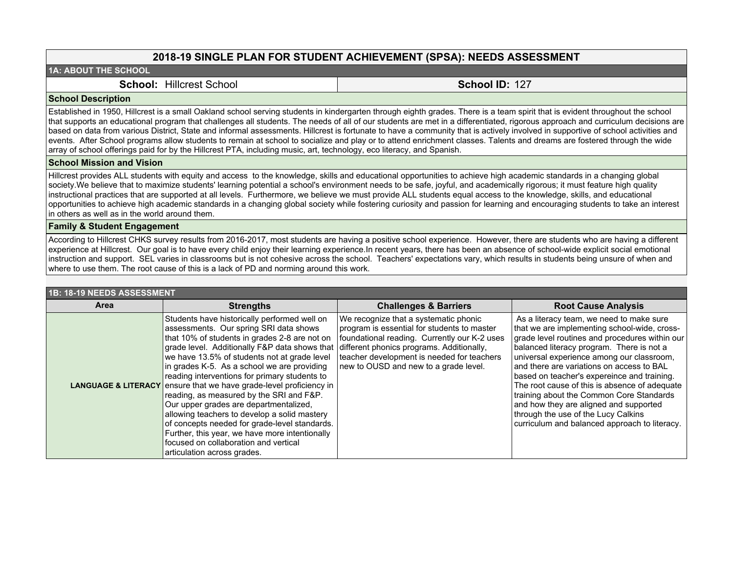### **2018-19 SINGLE PLAN FOR STUDENT ACHIEVEMENT (SPSA): NEEDS ASSESSMENT**

#### **1A: ABOUT THE SCHOOL**

**School:** Hillcrest School **School ID:** 127

#### **School Description**

Established in 1950, Hillcrest is a small Oakland school serving students in kindergarten through eighth grades. There is a team spirit that is evident throughout the school that supports an educational program that challenges all students. The needs of all of our students are met in a differentiated, rigorous approach and curriculum decisions are based on data from various District, State and informal assessments. Hillcrest is fortunate to have a community that is actively involved in supportive of school activities and events. After School programs allow students to remain at school to socialize and play or to attend enrichment classes. Talents and dreams are fostered through the wide array of school offerings paid for by the Hillcrest PTA, including music, art, technology, eco literacy, and Spanish.

#### **School Mission and Vision**

Hillcrest provides ALL students with equity and access to the knowledge, skills and educational opportunities to achieve high academic standards in a changing global society. We believe that to maximize students' learning potential a school's environment needs to be safe, joyful, and academically rigorous; it must feature high quality instructional practices that are supported at all levels. Furthermore, we believe we must provide ALL students equal access to the knowledge, skills, and educational opportunities to achieve high academic standards in a changing global society while fostering curiosity and passion for learning and encouraging students to take an interest in others as well as in the world around them.

#### **Family & Student Engagement**

According to Hillcrest CHKS survey results from 2016-2017, most students are having a positive school experience. However, there are students who are having a different experience at Hillcrest. Our goal is to have every child enjoy their learning experience.In recent years, there has been an absence of school-wide explicit social emotional instruction and support. SEL varies in classrooms but is not cohesive across the school. Teachers' expectations vary, which results in students being unsure of when and where to use them. The root cause of this is a lack of PD and norming around this work.

| 1B: 18-19 NEEDS ASSESSMENT |                                                                                                                                                                                                                                                                                                                                                                                                                                                                                                                                                                                                                                                                                                                                                                                               |                                                                                                                                                                                                                             |                                                                                                                                                                                                                                                                                                                                                                                                                                                                                                                                                                 |
|----------------------------|-----------------------------------------------------------------------------------------------------------------------------------------------------------------------------------------------------------------------------------------------------------------------------------------------------------------------------------------------------------------------------------------------------------------------------------------------------------------------------------------------------------------------------------------------------------------------------------------------------------------------------------------------------------------------------------------------------------------------------------------------------------------------------------------------|-----------------------------------------------------------------------------------------------------------------------------------------------------------------------------------------------------------------------------|-----------------------------------------------------------------------------------------------------------------------------------------------------------------------------------------------------------------------------------------------------------------------------------------------------------------------------------------------------------------------------------------------------------------------------------------------------------------------------------------------------------------------------------------------------------------|
| Area                       | <b>Strengths</b>                                                                                                                                                                                                                                                                                                                                                                                                                                                                                                                                                                                                                                                                                                                                                                              | <b>Challenges &amp; Barriers</b>                                                                                                                                                                                            | <b>Root Cause Analysis</b>                                                                                                                                                                                                                                                                                                                                                                                                                                                                                                                                      |
|                            | Students have historically performed well on<br>assessments. Our spring SRI data shows<br>that 10% of students in grades 2-8 are not on<br>$\sigma$ grade level. Additionally F&P data shows that different phonics programs. Additionally,<br>we have 13.5% of students not at grade level<br>in grades K-5. As a school we are providing<br>reading interventions for primary students to<br><b>LANGUAGE &amp; LITERACY</b> ensure that we have grade-level proficiency in<br>reading, as measured by the SRI and F&P.<br>Our upper grades are departmentalized,<br>allowing teachers to develop a solid mastery<br>of concepts needed for grade-level standards.<br>Further, this year, we have more intentionally<br>focused on collaboration and vertical<br>articulation across grades. | We recognize that a systematic phonic<br>program is essential for students to master<br>foundational reading. Currently our K-2 uses<br>teacher development is needed for teachers<br>new to OUSD and new to a grade level. | As a literacy team, we need to make sure<br>that we are implementing school-wide, cross-<br>grade level routines and procedures within our<br>balanced literacy program. There is not a<br>universal experience among our classroom,<br>and there are variations on access to BAL<br>based on teacher's expereince and training.<br>The root cause of this is absence of adequate<br>training about the Common Core Standards<br>and how they are aligned and supported<br>through the use of the Lucy Calkins<br>curriculum and balanced approach to literacy. |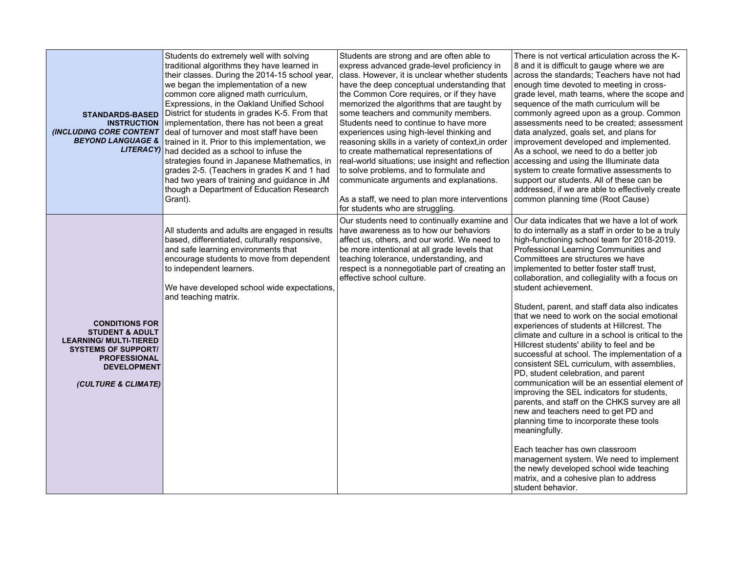| <b>STANDARDS-BASED</b><br><b>INSTRUCTION</b><br>(INCLUDING CORE CONTENT<br><b>BEYOND LANGUAGE &amp;</b>                                                                                | Students do extremely well with solving<br>traditional algorithms they have learned in<br>their classes. During the 2014-15 school year,<br>we began the implementation of a new<br>common core aligned math curriculum,<br>Expressions, in the Oakland Unified School<br>District for students in grades K-5. From that<br>implementation, there has not been a great<br>deal of turnover and most staff have been<br>trained in it. Prior to this implementation, we<br>LITERACY) had decided as a school to infuse the<br>strategies found in Japanese Mathematics, in<br>grades 2-5. (Teachers in grades K and 1 had<br>had two years of training and guidance in JM<br>though a Department of Education Research<br>Grant). | Students are strong and are often able to<br>express advanced grade-level proficiency in<br>class. However, it is unclear whether students<br>have the deep conceptual understanding that<br>the Common Core requires, or if they have<br>memorized the algorithms that are taught by<br>some teachers and community members.<br>Students need to continue to have more<br>experiences using high-level thinking and<br>reasoning skills in a variety of context, in order<br>to create mathematical representations of<br>real-world situations; use insight and reflection<br>to solve problems, and to formulate and<br>communicate arguments and explanations.<br>As a staff, we need to plan more interventions<br>for students who are struggling. | There is not vertical articulation across the K-<br>8 and it is difficult to gauge where we are<br>across the standards; Teachers have not had<br>enough time devoted to meeting in cross-<br>grade level, math teams, where the scope and<br>sequence of the math curriculum will be<br>commonly agreed upon as a group. Common<br>assessments need to be created; assessment<br>data analyzed, goals set, and plans for<br>improvement developed and implemented.<br>As a school, we need to do a better job<br>accessing and using the Illuminate data<br>system to create formative assessments to<br>support our students. All of these can be<br>addressed, if we are able to effectively create<br>common planning time (Root Cause)                                                                                                                                                                                                                                                                                                                                                                                                                                                    |
|----------------------------------------------------------------------------------------------------------------------------------------------------------------------------------------|----------------------------------------------------------------------------------------------------------------------------------------------------------------------------------------------------------------------------------------------------------------------------------------------------------------------------------------------------------------------------------------------------------------------------------------------------------------------------------------------------------------------------------------------------------------------------------------------------------------------------------------------------------------------------------------------------------------------------------|----------------------------------------------------------------------------------------------------------------------------------------------------------------------------------------------------------------------------------------------------------------------------------------------------------------------------------------------------------------------------------------------------------------------------------------------------------------------------------------------------------------------------------------------------------------------------------------------------------------------------------------------------------------------------------------------------------------------------------------------------------|------------------------------------------------------------------------------------------------------------------------------------------------------------------------------------------------------------------------------------------------------------------------------------------------------------------------------------------------------------------------------------------------------------------------------------------------------------------------------------------------------------------------------------------------------------------------------------------------------------------------------------------------------------------------------------------------------------------------------------------------------------------------------------------------------------------------------------------------------------------------------------------------------------------------------------------------------------------------------------------------------------------------------------------------------------------------------------------------------------------------------------------------------------------------------------------------|
| <b>CONDITIONS FOR</b><br><b>STUDENT &amp; ADULT</b><br><b>LEARNING/ MULTI-TIERED</b><br><b>SYSTEMS OF SUPPORT/</b><br><b>PROFESSIONAL</b><br><b>DEVELOPMENT</b><br>(CULTURE & CLIMATE) | All students and adults are engaged in results<br>based, differentiated, culturally responsive,<br>and safe learning environments that<br>encourage students to move from dependent<br>to independent learners.<br>We have developed school wide expectations,<br>and teaching matrix.                                                                                                                                                                                                                                                                                                                                                                                                                                           | Our students need to continually examine and<br>have awareness as to how our behaviors<br>affect us, others, and our world. We need to<br>be more intentional at all grade levels that<br>teaching tolerance, understanding, and<br>respect is a nonnegotiable part of creating an<br>effective school culture.                                                                                                                                                                                                                                                                                                                                                                                                                                          | Our data indicates that we have a lot of work<br>to do internally as a staff in order to be a truly<br>high-functioning school team for 2018-2019.<br>Professional Learning Communities and<br>Committees are structures we have<br>implemented to better foster staff trust.<br>collaboration, and collegiality with a focus on<br>student achievement.<br>Student, parent, and staff data also indicates<br>that we need to work on the social emotional<br>experiences of students at Hillcrest. The<br>climate and culture in a school is critical to the<br>Hillcrest students' ability to feel and be<br>successful at school. The implementation of a<br>consistent SEL curriculum, with assemblies,<br>PD, student celebration, and parent<br>communication will be an essential element of<br>improving the SEL indicators for students,<br>parents, and staff on the CHKS survey are all<br>new and teachers need to get PD and<br>planning time to incorporate these tools<br>meaningfully.<br>Each teacher has own classroom<br>management system. We need to implement<br>the newly developed school wide teaching<br>matrix, and a cohesive plan to address<br>student behavior. |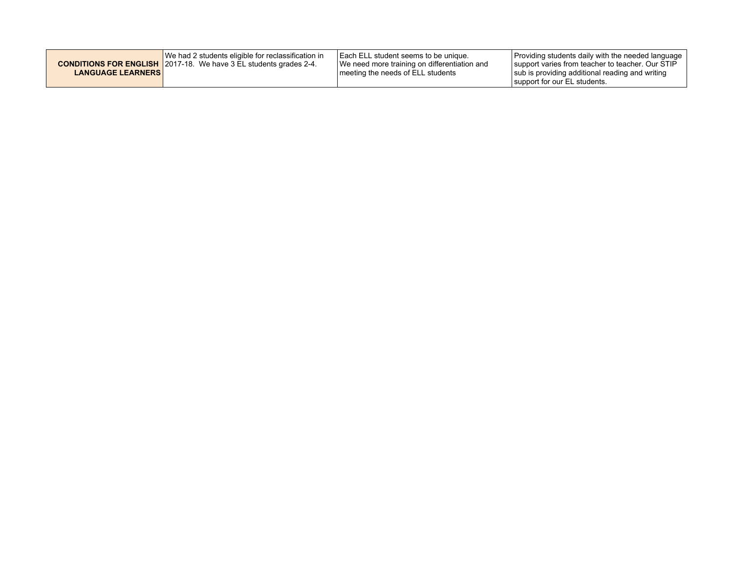|                          | We had 2 students eligible for reclassification in                       | <b>I Each ELL student seems to be unique.</b> | Providing students daily with the needed language                               |
|--------------------------|--------------------------------------------------------------------------|-----------------------------------------------|---------------------------------------------------------------------------------|
|                          | <b>CONDITIONS FOR ENGLISH</b> 2017-18. We have 3 EL students grades 2-4. | We need more training on differentiation and  | support varies from teacher to teacher. Our STIP                                |
| <b>LANGUAGE LEARNERS</b> |                                                                          | I meeting the needs of ELL students           | sub is providing additional reading and writing<br>support for our EL students. |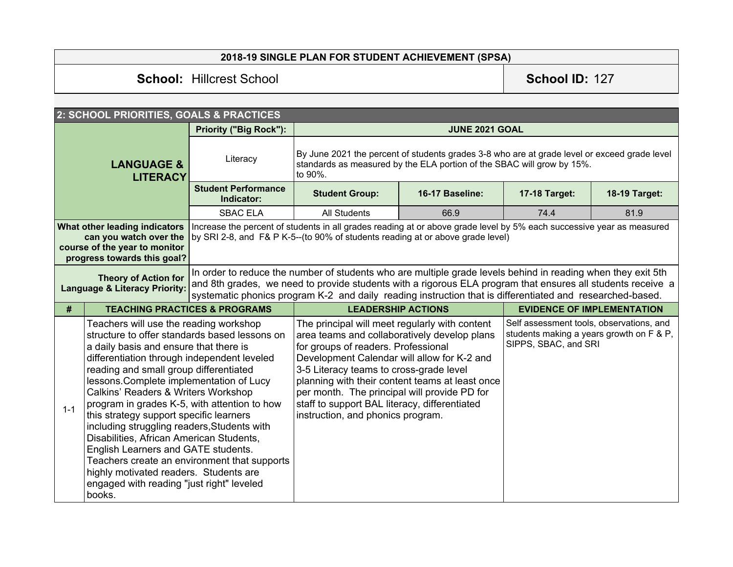# **2018-19 SINGLE PLAN FOR STUDENT ACHIEVEMENT (SPSA)**

# **School:** Hillcrest School **School ID:** 127

|                                                                                                                         | 2: SCHOOL PRIORITIES, GOALS & PRACTICES                                                                                                                                                                                                                                                                                                                                                                                                                                                                                                                                                                                                     |                                                                                                                                                                                                                                                                                                                                          |                                                                                                                                                                                                                                                                                                                                                                                                                          |                 |                                                                                                              |                      |  |
|-------------------------------------------------------------------------------------------------------------------------|---------------------------------------------------------------------------------------------------------------------------------------------------------------------------------------------------------------------------------------------------------------------------------------------------------------------------------------------------------------------------------------------------------------------------------------------------------------------------------------------------------------------------------------------------------------------------------------------------------------------------------------------|------------------------------------------------------------------------------------------------------------------------------------------------------------------------------------------------------------------------------------------------------------------------------------------------------------------------------------------|--------------------------------------------------------------------------------------------------------------------------------------------------------------------------------------------------------------------------------------------------------------------------------------------------------------------------------------------------------------------------------------------------------------------------|-----------------|--------------------------------------------------------------------------------------------------------------|----------------------|--|
| <b>Priority ("Big Rock"):</b><br>Literacy<br><b>LANGUAGE &amp;</b><br><b>LITERACY</b>                                   |                                                                                                                                                                                                                                                                                                                                                                                                                                                                                                                                                                                                                                             |                                                                                                                                                                                                                                                                                                                                          | <b>JUNE 2021 GOAL</b>                                                                                                                                                                                                                                                                                                                                                                                                    |                 |                                                                                                              |                      |  |
|                                                                                                                         |                                                                                                                                                                                                                                                                                                                                                                                                                                                                                                                                                                                                                                             |                                                                                                                                                                                                                                                                                                                                          | By June 2021 the percent of students grades 3-8 who are at grade level or exceed grade level<br>standards as measured by the ELA portion of the SBAC will grow by 15%.<br>to 90%.                                                                                                                                                                                                                                        |                 |                                                                                                              |                      |  |
|                                                                                                                         |                                                                                                                                                                                                                                                                                                                                                                                                                                                                                                                                                                                                                                             | <b>Student Performance</b><br>Indicator:                                                                                                                                                                                                                                                                                                 | <b>Student Group:</b>                                                                                                                                                                                                                                                                                                                                                                                                    | 16-17 Baseline: | <b>17-18 Target:</b>                                                                                         | <b>18-19 Target:</b> |  |
|                                                                                                                         |                                                                                                                                                                                                                                                                                                                                                                                                                                                                                                                                                                                                                                             | <b>SBAC ELA</b>                                                                                                                                                                                                                                                                                                                          | <b>All Students</b>                                                                                                                                                                                                                                                                                                                                                                                                      | 66.9            | 74.4                                                                                                         | 81.9                 |  |
| What other leading indicators<br>can you watch over the<br>course of the year to monitor<br>progress towards this goal? |                                                                                                                                                                                                                                                                                                                                                                                                                                                                                                                                                                                                                                             |                                                                                                                                                                                                                                                                                                                                          | Increase the percent of students in all grades reading at or above grade level by 5% each successive year as measured<br>by SRI 2-8, and F& P K-5--(to 90% of students reading at or above grade level)                                                                                                                                                                                                                  |                 |                                                                                                              |                      |  |
| <b>Theory of Action for</b><br><b>Language &amp; Literacy Priority:</b>                                                 |                                                                                                                                                                                                                                                                                                                                                                                                                                                                                                                                                                                                                                             | In order to reduce the number of students who are multiple grade levels behind in reading when they exit 5th<br>and 8th grades, we need to provide students with a rigorous ELA program that ensures all students receive a<br>systematic phonics program K-2 and daily reading instruction that is differentiated and researched-based. |                                                                                                                                                                                                                                                                                                                                                                                                                          |                 |                                                                                                              |                      |  |
| #                                                                                                                       | <b>TEACHING PRACTICES &amp; PROGRAMS</b>                                                                                                                                                                                                                                                                                                                                                                                                                                                                                                                                                                                                    |                                                                                                                                                                                                                                                                                                                                          | <b>LEADERSHIP ACTIONS</b>                                                                                                                                                                                                                                                                                                                                                                                                |                 | <b>EVIDENCE OF IMPLEMENTATION</b>                                                                            |                      |  |
| $1 - 1$                                                                                                                 | Teachers will use the reading workshop<br>structure to offer standards based lessons on<br>a daily basis and ensure that there is<br>differentiation through independent leveled<br>reading and small group differentiated<br>lessons. Complete implementation of Lucy<br>Calkins' Readers & Writers Workshop<br>program in grades K-5, with attention to how<br>this strategy support specific learners<br>including struggling readers, Students with<br>Disabilities, African American Students,<br>English Learners and GATE students.<br>highly motivated readers. Students are<br>engaged with reading "just right" leveled<br>books. | Teachers create an environment that supports                                                                                                                                                                                                                                                                                             | The principal will meet regularly with content<br>area teams and collaboratively develop plans<br>for groups of readers. Professional<br>Development Calendar will allow for K-2 and<br>3-5 Literacy teams to cross-grade level<br>planning with their content teams at least once<br>per month. The principal will provide PD for<br>staff to support BAL literacy, differentiated<br>instruction, and phonics program. |                 | Self assessment tools, observations, and<br>students making a years growth on F & P,<br>SIPPS, SBAC, and SRI |                      |  |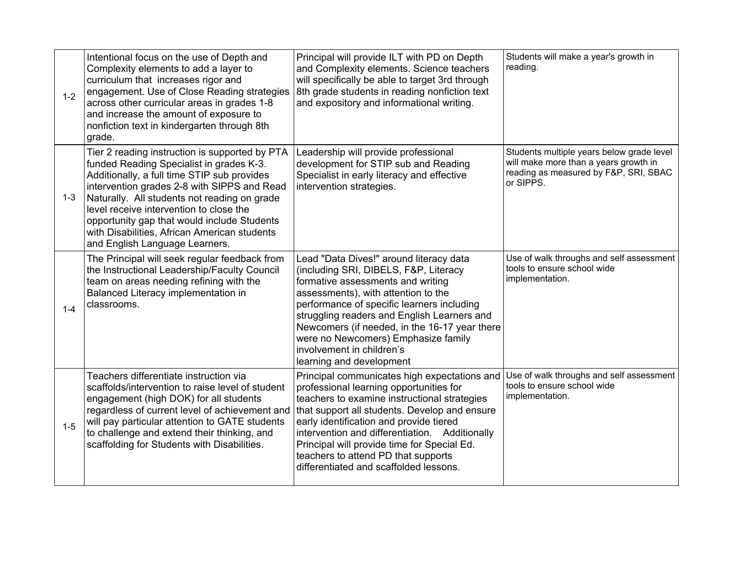| $1 - 2$ | Intentional focus on the use of Depth and<br>Complexity elements to add a layer to<br>curriculum that increases rigor and<br>engagement. Use of Close Reading strategies<br>across other curricular areas in grades 1-8<br>and increase the amount of exposure to<br>nonfiction text in kindergarten through 8th<br>grade.                                                                                           | Principal will provide ILT with PD on Depth<br>and Complexity elements. Science teachers<br>will specifically be able to target 3rd through<br>8th grade students in reading nonfiction text<br>and expository and informational writing.                                                                                                                                                                             | Students will make a year's growth in<br>reading.                                                                                        |
|---------|----------------------------------------------------------------------------------------------------------------------------------------------------------------------------------------------------------------------------------------------------------------------------------------------------------------------------------------------------------------------------------------------------------------------|-----------------------------------------------------------------------------------------------------------------------------------------------------------------------------------------------------------------------------------------------------------------------------------------------------------------------------------------------------------------------------------------------------------------------|------------------------------------------------------------------------------------------------------------------------------------------|
| $1 - 3$ | Tier 2 reading instruction is supported by PTA<br>funded Reading Specialist in grades K-3.<br>Additionally, a full time STIP sub provides<br>intervention grades 2-8 with SIPPS and Read<br>Naturally. All students not reading on grade<br>level receive intervention to close the<br>opportunity gap that would include Students<br>with Disabilities, African American students<br>and English Language Learners. | Leadership will provide professional<br>development for STIP sub and Reading<br>Specialist in early literacy and effective<br>intervention strategies.                                                                                                                                                                                                                                                                | Students multiple years below grade level<br>will make more than a years growth in<br>reading as measured by F&P, SRI, SBAC<br>or SIPPS. |
| $1 - 4$ | The Principal will seek regular feedback from<br>the Instructional Leadership/Faculty Council<br>team on areas needing refining with the<br>Balanced Literacy implementation in<br>classrooms.                                                                                                                                                                                                                       | Lead "Data Dives!" around literacy data<br>(including SRI, DIBELS, F&P, Literacy<br>formative assessments and writing<br>assessments), with attention to the<br>performance of specific learners including<br>struggling readers and English Learners and<br>Newcomers (if needed, in the 16-17 year there<br>were no Newcomers) Emphasize family<br>involvement in children's<br>learning and development            | Use of walk throughs and self assessment<br>tools to ensure school wide<br>implementation.                                               |
| $1 - 5$ | Teachers differentiate instruction via<br>scaffolds/intervention to raise level of student<br>engagement (high DOK) for all students<br>regardless of current level of achievement and<br>will pay particular attention to GATE students<br>to challenge and extend their thinking, and<br>scaffolding for Students with Disabilities.                                                                               | Principal communicates high expectations and<br>professional learning opportunities for<br>teachers to examine instructional strategies<br>that support all students. Develop and ensure<br>early identification and provide tiered<br>intervention and differentiation. Additionally<br>Principal will provide time for Special Ed.<br>teachers to attend PD that supports<br>differentiated and scaffolded lessons. | Use of walk throughs and self assessment<br>tools to ensure school wide<br>implementation.                                               |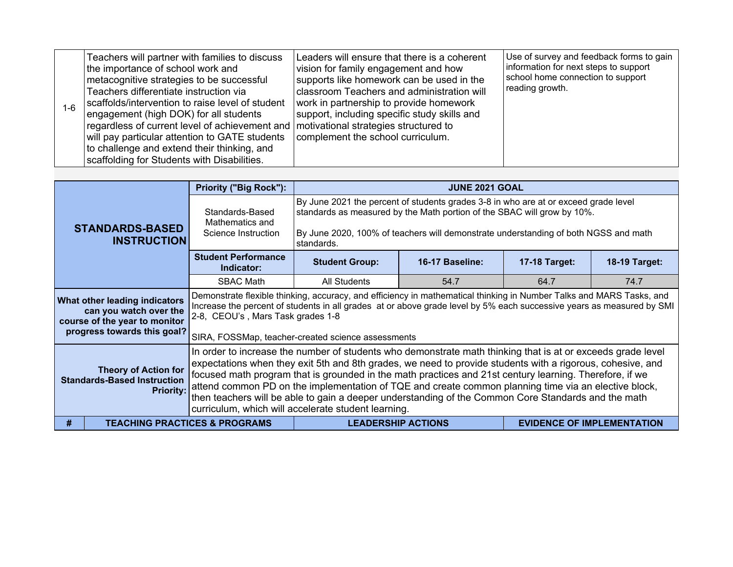| $1 - 6$ | Teachers will partner with families to discuss<br>the importance of school work and<br>metacognitive strategies to be successful<br>Teachers differentiate instruction via<br>scaffolds/intervention to raise level of student<br>engagement (high DOK) for all students<br>regardless of current level of achievement and   motivational strategies structured to<br>will pay particular attention to GATE students<br>to challenge and extend their thinking, and<br>scaffolding for Students with Disabilities. | Leaders will ensure that there is a coherent<br>vision for family engagement and how<br>supports like homework can be used in the<br>classroom Teachers and administration will<br>work in partnership to provide homework<br>support, including specific study skills and<br>complement the school curriculum. | Use of survey and feedback forms to gain<br>information for next steps to support<br>school home connection to support<br>reading growth. |
|---------|--------------------------------------------------------------------------------------------------------------------------------------------------------------------------------------------------------------------------------------------------------------------------------------------------------------------------------------------------------------------------------------------------------------------------------------------------------------------------------------------------------------------|-----------------------------------------------------------------------------------------------------------------------------------------------------------------------------------------------------------------------------------------------------------------------------------------------------------------|-------------------------------------------------------------------------------------------------------------------------------------------|
|---------|--------------------------------------------------------------------------------------------------------------------------------------------------------------------------------------------------------------------------------------------------------------------------------------------------------------------------------------------------------------------------------------------------------------------------------------------------------------------------------------------------------------------|-----------------------------------------------------------------------------------------------------------------------------------------------------------------------------------------------------------------------------------------------------------------------------------------------------------------|-------------------------------------------------------------------------------------------------------------------------------------------|

|   | <b>STANDARDS-BASED</b><br><b>INSTRUCTION</b>                                                                            | <b>Priority ("Big Rock"):</b>                                                                                                                                                                                                                                                                                                                                                                                                                                                                                                                                                                                                                                    |                                                                                                                                                                                                                                                                                    | <b>JUNE 2021 GOAL</b> |               |                                   |  |
|---|-------------------------------------------------------------------------------------------------------------------------|------------------------------------------------------------------------------------------------------------------------------------------------------------------------------------------------------------------------------------------------------------------------------------------------------------------------------------------------------------------------------------------------------------------------------------------------------------------------------------------------------------------------------------------------------------------------------------------------------------------------------------------------------------------|------------------------------------------------------------------------------------------------------------------------------------------------------------------------------------------------------------------------------------------------------------------------------------|-----------------------|---------------|-----------------------------------|--|
|   |                                                                                                                         | Standards-Based<br>Mathematics and<br>Science Instruction                                                                                                                                                                                                                                                                                                                                                                                                                                                                                                                                                                                                        | By June 2021 the percent of students grades 3-8 in who are at or exceed grade level<br>standards as measured by the Math portion of the SBAC will grow by 10%.<br>By June 2020, 100% of teachers will demonstrate understanding of both NGSS and math<br>standards.                |                       |               |                                   |  |
|   |                                                                                                                         | <b>Student Performance</b><br>Indicator:                                                                                                                                                                                                                                                                                                                                                                                                                                                                                                                                                                                                                         | <b>Student Group:</b>                                                                                                                                                                                                                                                              | 16-17 Baseline:       | 17-18 Target: | 18-19 Target:                     |  |
|   |                                                                                                                         | <b>SBAC Math</b>                                                                                                                                                                                                                                                                                                                                                                                                                                                                                                                                                                                                                                                 | All Students                                                                                                                                                                                                                                                                       | 54.7                  | 64.7          | 74.7                              |  |
|   | What other leading indicators<br>can you watch over the<br>course of the year to monitor<br>progress towards this goal? |                                                                                                                                                                                                                                                                                                                                                                                                                                                                                                                                                                                                                                                                  | Demonstrate flexible thinking, accuracy, and efficiency in mathematical thinking in Number Talks and MARS Tasks, and<br>Increase the percent of students in all grades at or above grade level by 5% each successive years as measured by SMI<br>2-8, CEOU's, Mars Task grades 1-8 |                       |               |                                   |  |
|   | <b>Theory of Action for</b><br><b>Standards-Based Instruction</b><br><b>Priority:</b>                                   | SIRA, FOSSMap, teacher-created science assessments<br>In order to increase the number of students who demonstrate math thinking that is at or exceeds grade level<br>expectations when they exit 5th and 8th grades, we need to provide students with a rigorous, cohesive, and<br>focused math program that is grounded in the math practices and 21st century learning. Therefore, if we<br>attend common PD on the implementation of TQE and create common planning time via an elective block,<br>then teachers will be able to gain a deeper understanding of the Common Core Standards and the math<br>curriculum, which will accelerate student learning. |                                                                                                                                                                                                                                                                                    |                       |               |                                   |  |
| # |                                                                                                                         | <b>TEACHING PRACTICES &amp; PROGRAMS</b>                                                                                                                                                                                                                                                                                                                                                                                                                                                                                                                                                                                                                         | <b>LEADERSHIP ACTIONS</b>                                                                                                                                                                                                                                                          |                       |               | <b>EVIDENCE OF IMPLEMENTATION</b> |  |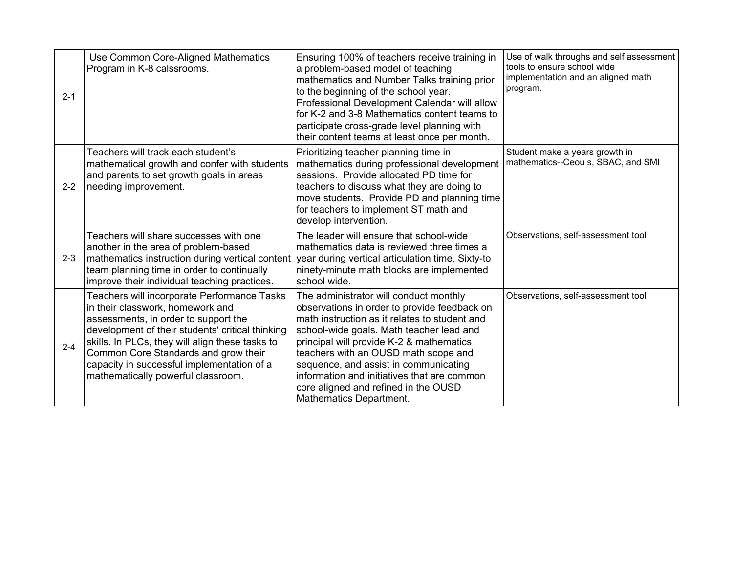| $2 - 1$ | Use Common Core-Aligned Mathematics<br>Program in K-8 calssrooms.                                                                                                                                                                                                                                                                                          | Ensuring 100% of teachers receive training in<br>a problem-based model of teaching<br>mathematics and Number Talks training prior<br>to the beginning of the school year.<br>Professional Development Calendar will allow<br>for K-2 and 3-8 Mathematics content teams to<br>participate cross-grade level planning with<br>their content teams at least once per month.                                                           | Use of walk throughs and self assessment<br>tools to ensure school wide<br>implementation and an aligned math<br>program. |
|---------|------------------------------------------------------------------------------------------------------------------------------------------------------------------------------------------------------------------------------------------------------------------------------------------------------------------------------------------------------------|------------------------------------------------------------------------------------------------------------------------------------------------------------------------------------------------------------------------------------------------------------------------------------------------------------------------------------------------------------------------------------------------------------------------------------|---------------------------------------------------------------------------------------------------------------------------|
| $2 - 2$ | Teachers will track each student's<br>mathematical growth and confer with students<br>and parents to set growth goals in areas<br>needing improvement.                                                                                                                                                                                                     | Prioritizing teacher planning time in<br>mathematics during professional development<br>sessions. Provide allocated PD time for<br>teachers to discuss what they are doing to<br>move students. Provide PD and planning time<br>for teachers to implement ST math and<br>develop intervention.                                                                                                                                     | Student make a years growth in<br>mathematics--Ceou s, SBAC, and SMI                                                      |
| $2 - 3$ | Teachers will share successes with one<br>another in the area of problem-based<br>mathematics instruction during vertical content vear during vertical articulation time. Sixty-to<br>team planning time in order to continually<br>improve their individual teaching practices.                                                                           | The leader will ensure that school-wide<br>mathematics data is reviewed three times a<br>ninety-minute math blocks are implemented<br>school wide.                                                                                                                                                                                                                                                                                 | Observations, self-assessment tool                                                                                        |
| $2 - 4$ | Teachers will incorporate Performance Tasks<br>in their classwork, homework and<br>assessments, in order to support the<br>development of their students' critical thinking<br>skills. In PLCs, they will align these tasks to<br>Common Core Standards and grow their<br>capacity in successful implementation of a<br>mathematically powerful classroom. | The administrator will conduct monthly<br>observations in order to provide feedback on<br>math instruction as it relates to student and<br>school-wide goals. Math teacher lead and<br>principal will provide K-2 & mathematics<br>teachers with an OUSD math scope and<br>sequence, and assist in communicating<br>information and initiatives that are common<br>core aligned and refined in the OUSD<br>Mathematics Department. | Observations, self-assessment tool                                                                                        |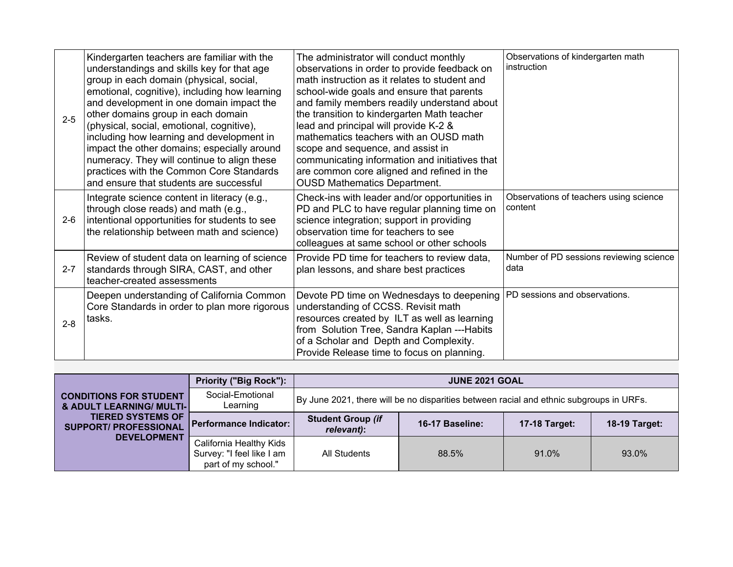| $2 - 5$ | Kindergarten teachers are familiar with the<br>understandings and skills key for that age<br>group in each domain (physical, social,<br>emotional, cognitive), including how learning<br>and development in one domain impact the<br>other domains group in each domain<br>(physical, social, emotional, cognitive),<br>including how learning and development in<br>impact the other domains; especially around<br>numeracy. They will continue to align these<br>practices with the Common Core Standards<br>and ensure that students are successful | The administrator will conduct monthly<br>observations in order to provide feedback on<br>math instruction as it relates to student and<br>school-wide goals and ensure that parents<br>and family members readily understand about<br>the transition to kindergarten Math teacher<br>lead and principal will provide K-2 &<br>mathematics teachers with an OUSD math<br>scope and sequence, and assist in<br>communicating information and initiatives that<br>are common core aligned and refined in the<br><b>OUSD Mathematics Department.</b> | Observations of kindergarten math<br>instruction  |
|---------|--------------------------------------------------------------------------------------------------------------------------------------------------------------------------------------------------------------------------------------------------------------------------------------------------------------------------------------------------------------------------------------------------------------------------------------------------------------------------------------------------------------------------------------------------------|---------------------------------------------------------------------------------------------------------------------------------------------------------------------------------------------------------------------------------------------------------------------------------------------------------------------------------------------------------------------------------------------------------------------------------------------------------------------------------------------------------------------------------------------------|---------------------------------------------------|
| $2 - 6$ | Integrate science content in literacy (e.g.,<br>through close reads) and math (e.g.,<br>intentional opportunities for students to see<br>the relationship between math and science)                                                                                                                                                                                                                                                                                                                                                                    | Check-ins with leader and/or opportunities in<br>PD and PLC to have regular planning time on<br>science integration; support in providing<br>observation time for teachers to see<br>colleagues at same school or other schools                                                                                                                                                                                                                                                                                                                   | Observations of teachers using science<br>content |
| $2 - 7$ | Review of student data on learning of science<br>standards through SIRA, CAST, and other<br>teacher-created assessments                                                                                                                                                                                                                                                                                                                                                                                                                                | Provide PD time for teachers to review data,<br>plan lessons, and share best practices                                                                                                                                                                                                                                                                                                                                                                                                                                                            | Number of PD sessions reviewing science<br>data   |
| $2 - 8$ | Deepen understanding of California Common<br>Core Standards in order to plan more rigorous<br>tasks.                                                                                                                                                                                                                                                                                                                                                                                                                                                   | Devote PD time on Wednesdays to deepening<br>understanding of CCSS. Revisit math<br>resources created by ILT as well as learning<br>from Solution Tree, Sandra Kaplan ---Habits<br>of a Scholar and Depth and Complexity.<br>Provide Release time to focus on planning.                                                                                                                                                                                                                                                                           | PD sessions and observations.                     |

|                                                                      | <b>Priority ("Big Rock"):</b>                                               | <b>JUNE 2021 GOAL</b>                                                                   |                 |                      |                      |  |
|----------------------------------------------------------------------|-----------------------------------------------------------------------------|-----------------------------------------------------------------------------------------|-----------------|----------------------|----------------------|--|
| <b>CONDITIONS FOR STUDENT</b><br><b>&amp; ADULT LEARNING/ MULTI-</b> | Social-Emotional<br>Learning                                                | By June 2021, there will be no disparities between racial and ethnic subgroups in URFs. |                 |                      |                      |  |
| <b>TIERED SYSTEMS OF</b><br><b>SUPPORT/ PROFESSIONAL</b>             | Performance Indicator:                                                      | <b>Student Group (if</b><br>relevant):                                                  | 16-17 Baseline: | <b>17-18 Target:</b> | <b>18-19 Target:</b> |  |
| <b>DEVELOPMENT</b>                                                   | California Healthy Kids<br>Survey: "I feel like I am<br>part of my school." | All Students                                                                            | 88.5%           | 91.0%                | 93.0%                |  |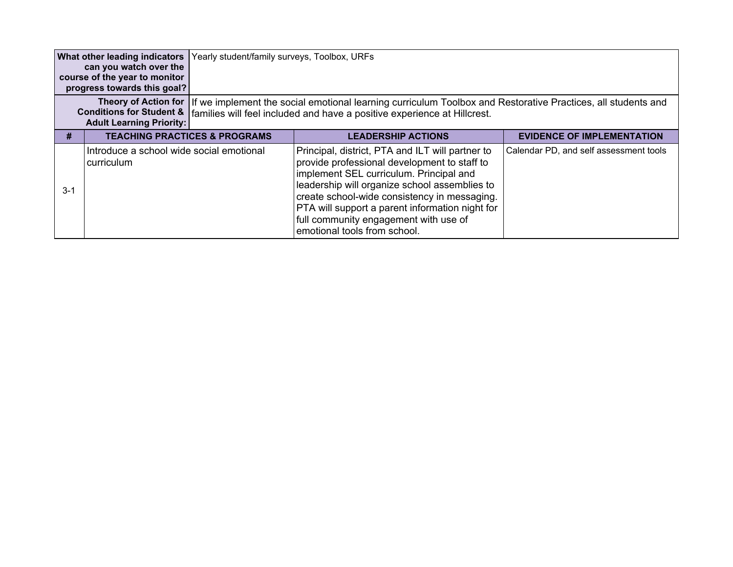| What other leading indicators<br>can you watch over the<br>course of the year to monitor<br>progress towards this goal? |                                                                        | Yearly student/family surveys, Toolbox, URFs |                                                                                                                                                                                                                                                                                                                                                                          |                                        |
|-------------------------------------------------------------------------------------------------------------------------|------------------------------------------------------------------------|----------------------------------------------|--------------------------------------------------------------------------------------------------------------------------------------------------------------------------------------------------------------------------------------------------------------------------------------------------------------------------------------------------------------------------|----------------------------------------|
|                                                                                                                         | <b>Conditions for Student &amp;</b><br><b>Adult Learning Priority:</b> |                                              | Theory of Action for   If we implement the social emotional learning curriculum Toolbox and Restorative Practices, all students and<br>families will feel included and have a positive experience at Hillcrest.                                                                                                                                                          |                                        |
| #                                                                                                                       |                                                                        | <b>TEACHING PRACTICES &amp; PROGRAMS</b>     | <b>LEADERSHIP ACTIONS</b>                                                                                                                                                                                                                                                                                                                                                | <b>EVIDENCE OF IMPLEMENTATION</b>      |
| $3-1$                                                                                                                   | Introduce a school wide social emotional<br>curriculum                 |                                              | Principal, district, PTA and ILT will partner to<br>provide professional development to staff to<br>implement SEL curriculum. Principal and<br>leadership will organize school assemblies to<br>create school-wide consistency in messaging.<br>PTA will support a parent information night for<br>full community engagement with use of<br>emotional tools from school. | Calendar PD, and self assessment tools |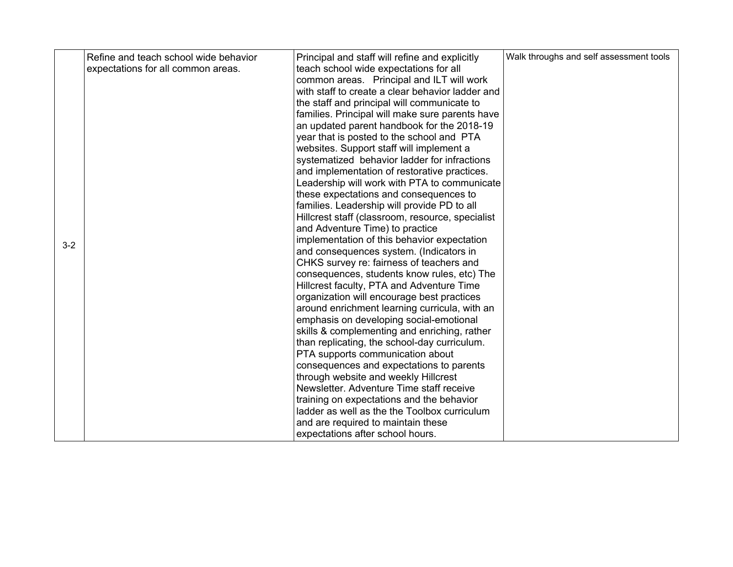|         | Refine and teach school wide behavior | Principal and staff will refine and explicitly   | Walk throughs and self assessment tools |
|---------|---------------------------------------|--------------------------------------------------|-----------------------------------------|
|         | expectations for all common areas.    | teach school wide expectations for all           |                                         |
|         |                                       | common areas. Principal and ILT will work        |                                         |
|         |                                       | with staff to create a clear behavior ladder and |                                         |
|         |                                       | the staff and principal will communicate to      |                                         |
|         |                                       | families. Principal will make sure parents have  |                                         |
|         |                                       | an updated parent handbook for the 2018-19       |                                         |
|         |                                       | year that is posted to the school and PTA        |                                         |
|         |                                       | websites. Support staff will implement a         |                                         |
|         |                                       | systematized behavior ladder for infractions     |                                         |
|         |                                       | and implementation of restorative practices.     |                                         |
|         |                                       | Leadership will work with PTA to communicate     |                                         |
|         |                                       | these expectations and consequences to           |                                         |
|         |                                       | families. Leadership will provide PD to all      |                                         |
|         |                                       | Hillcrest staff (classroom, resource, specialist |                                         |
|         |                                       | and Adventure Time) to practice                  |                                         |
| $3 - 2$ |                                       | implementation of this behavior expectation      |                                         |
|         |                                       | and consequences system. (Indicators in          |                                         |
|         |                                       | CHKS survey re: fairness of teachers and         |                                         |
|         |                                       | consequences, students know rules, etc) The      |                                         |
|         |                                       | Hillcrest faculty, PTA and Adventure Time        |                                         |
|         |                                       | organization will encourage best practices       |                                         |
|         |                                       | around enrichment learning curricula, with an    |                                         |
|         |                                       | emphasis on developing social-emotional          |                                         |
|         |                                       | skills & complementing and enriching, rather     |                                         |
|         |                                       | than replicating, the school-day curriculum.     |                                         |
|         |                                       | PTA supports communication about                 |                                         |
|         |                                       | consequences and expectations to parents         |                                         |
|         |                                       | through website and weekly Hillcrest             |                                         |
|         |                                       | Newsletter. Adventure Time staff receive         |                                         |
|         |                                       | training on expectations and the behavior        |                                         |
|         |                                       | ladder as well as the the Toolbox curriculum     |                                         |
|         |                                       | and are required to maintain these               |                                         |
|         |                                       | expectations after school hours.                 |                                         |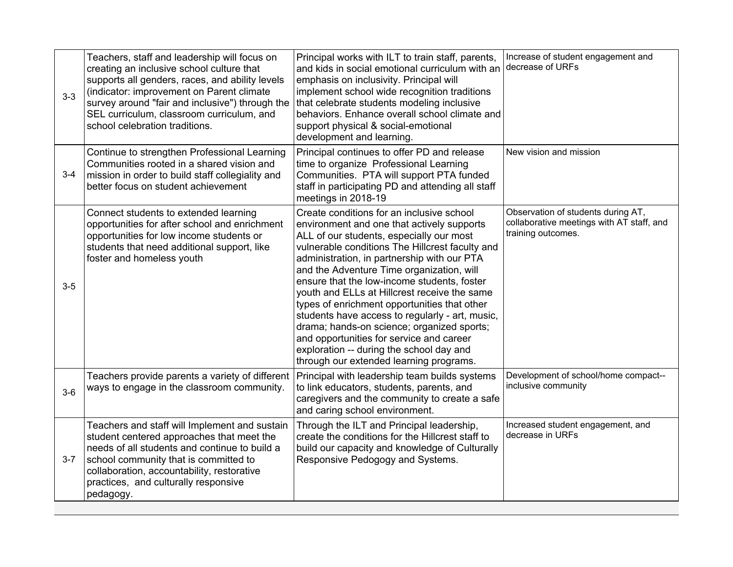| $3 - 3$ | Teachers, staff and leadership will focus on<br>creating an inclusive school culture that<br>supports all genders, races, and ability levels<br>(indicator: improvement on Parent climate<br>survey around "fair and inclusive") through the<br>SEL curriculum, classroom curriculum, and<br>school celebration traditions. | Principal works with ILT to train staff, parents,<br>and kids in social emotional curriculum with an<br>emphasis on inclusivity. Principal will<br>implement school wide recognition traditions<br>that celebrate students modeling inclusive<br>behaviors. Enhance overall school climate and<br>support physical & social-emotional<br>development and learning.                                                                                                                                                                                                                                                                                                    | Increase of student engagement and<br>decrease of URFs                                                |
|---------|-----------------------------------------------------------------------------------------------------------------------------------------------------------------------------------------------------------------------------------------------------------------------------------------------------------------------------|-----------------------------------------------------------------------------------------------------------------------------------------------------------------------------------------------------------------------------------------------------------------------------------------------------------------------------------------------------------------------------------------------------------------------------------------------------------------------------------------------------------------------------------------------------------------------------------------------------------------------------------------------------------------------|-------------------------------------------------------------------------------------------------------|
| $3 - 4$ | Continue to strengthen Professional Learning<br>Communities rooted in a shared vision and<br>mission in order to build staff collegiality and<br>better focus on student achievement                                                                                                                                        | Principal continues to offer PD and release<br>time to organize Professional Learning<br>Communities. PTA will support PTA funded<br>staff in participating PD and attending all staff<br>meetings in 2018-19                                                                                                                                                                                                                                                                                                                                                                                                                                                         | New vision and mission                                                                                |
| $3-5$   | Connect students to extended learning<br>opportunities for after school and enrichment<br>opportunities for low income students or<br>students that need additional support, like<br>foster and homeless youth                                                                                                              | Create conditions for an inclusive school<br>environment and one that actively supports<br>ALL of our students, especially our most<br>vulnerable conditions The Hillcrest faculty and<br>administration, in partnership with our PTA<br>and the Adventure Time organization, will<br>ensure that the low-income students, foster<br>youth and ELLs at Hillcrest receive the same<br>types of enrichment opportunities that other<br>students have access to regularly - art, music,<br>drama; hands-on science; organized sports;<br>and opportunities for service and career<br>exploration -- during the school day and<br>through our extended learning programs. | Observation of students during AT,<br>collaborative meetings with AT staff, and<br>training outcomes. |
| $3-6$   | Teachers provide parents a variety of different<br>ways to engage in the classroom community.                                                                                                                                                                                                                               | Principal with leadership team builds systems<br>to link educators, students, parents, and<br>caregivers and the community to create a safe<br>and caring school environment.                                                                                                                                                                                                                                                                                                                                                                                                                                                                                         | Development of school/home compact--<br>inclusive community                                           |
| $3 - 7$ | Teachers and staff will Implement and sustain<br>student centered approaches that meet the<br>needs of all students and continue to build a<br>school community that is committed to<br>collaboration, accountability, restorative<br>practices, and culturally responsive<br>pedagogy.                                     | Through the ILT and Principal leadership,<br>create the conditions for the Hillcrest staff to<br>build our capacity and knowledge of Culturally<br>Responsive Pedogogy and Systems.                                                                                                                                                                                                                                                                                                                                                                                                                                                                                   | Increased student engagement, and<br>decrease in URFs                                                 |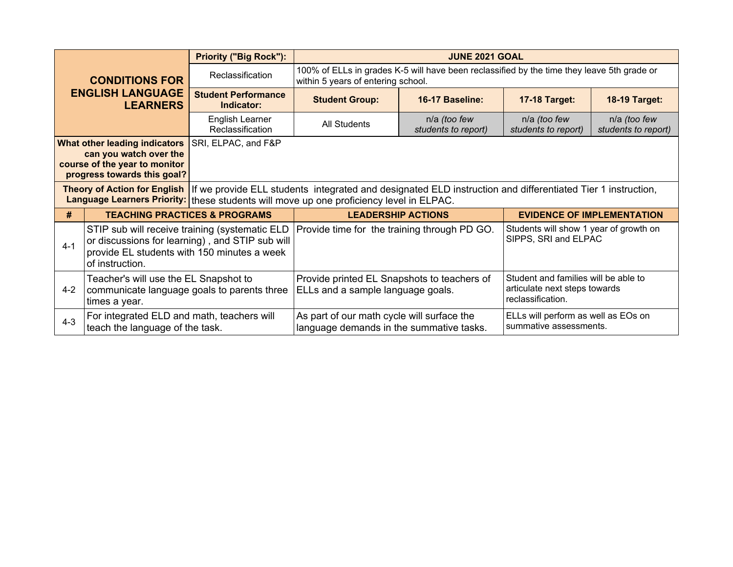|                                                                                                                                                                                                                                       |                                                                                                                                                                     | <b>Priority ("Big Rock"):</b>            |                                                                                        | <b>JUNE 2021 GOAL</b>                                                                                                            |                                                                                            |                                     |  |  |
|---------------------------------------------------------------------------------------------------------------------------------------------------------------------------------------------------------------------------------------|---------------------------------------------------------------------------------------------------------------------------------------------------------------------|------------------------------------------|----------------------------------------------------------------------------------------|----------------------------------------------------------------------------------------------------------------------------------|--------------------------------------------------------------------------------------------|-------------------------------------|--|--|
|                                                                                                                                                                                                                                       | <b>CONDITIONS FOR</b>                                                                                                                                               | Reclassification                         |                                                                                        | 100% of ELLs in grades K-5 will have been reclassified by the time they leave 5th grade or<br>within 5 years of entering school. |                                                                                            |                                     |  |  |
|                                                                                                                                                                                                                                       | <b>ENGLISH LANGUAGE</b><br><b>LEARNERS</b>                                                                                                                          | <b>Student Performance</b><br>Indicator: | <b>Student Group:</b>                                                                  | 16-17 Baseline:                                                                                                                  | <b>17-18 Target:</b>                                                                       | <b>18-19 Target:</b>                |  |  |
|                                                                                                                                                                                                                                       |                                                                                                                                                                     | English Learner<br>Reclassification      | <b>All Students</b>                                                                    | n/a (too few<br>students to report)                                                                                              | n/a (too few<br>students to report)                                                        | n/a (too few<br>students to report) |  |  |
| SRI, ELPAC, and F&P<br><b>What other leading indicators</b><br>can you watch over the<br>course of the year to monitor<br>progress towards this goal?                                                                                 |                                                                                                                                                                     |                                          |                                                                                        |                                                                                                                                  |                                                                                            |                                     |  |  |
| Theory of Action for English   If we provide ELL students integrated and designated ELD instruction and differentiated Tier 1 instruction,<br>Language Learners Priority: these students will move up one proficiency level in ELPAC. |                                                                                                                                                                     |                                          |                                                                                        |                                                                                                                                  |                                                                                            |                                     |  |  |
| #                                                                                                                                                                                                                                     |                                                                                                                                                                     | <b>TEACHING PRACTICES &amp; PROGRAMS</b> | <b>LEADERSHIP ACTIONS</b>                                                              |                                                                                                                                  | <b>EVIDENCE OF IMPLEMENTATION</b>                                                          |                                     |  |  |
| $4 - 1$                                                                                                                                                                                                                               | STIP sub will receive training (systematic ELD<br>or discussions for learning), and STIP sub will<br>provide EL students with 150 minutes a week<br>of instruction. |                                          | Provide time for the training through PD GO.                                           |                                                                                                                                  | Students will show 1 year of growth on<br>SIPPS, SRI and ELPAC                             |                                     |  |  |
| $4 - 2$                                                                                                                                                                                                                               | Teacher's will use the EL Snapshot to<br>communicate language goals to parents three<br>times a year.                                                               |                                          | Provide printed EL Snapshots to teachers of<br>ELLs and a sample language goals.       |                                                                                                                                  | Student and families will be able to<br>articulate next steps towards<br>reclassification. |                                     |  |  |
| $4 - 3$                                                                                                                                                                                                                               | For integrated ELD and math, teachers will<br>teach the language of the task.                                                                                       |                                          | As part of our math cycle will surface the<br>language demands in the summative tasks. |                                                                                                                                  | ELLs will perform as well as EOs on<br>summative assessments.                              |                                     |  |  |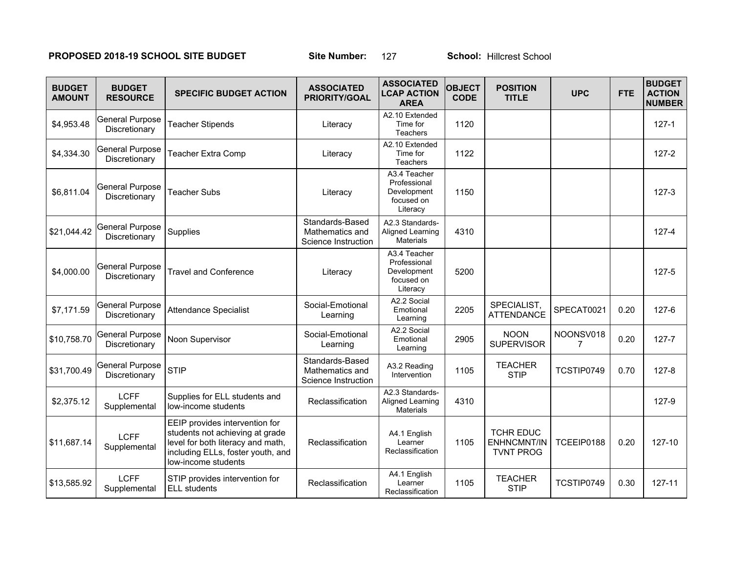## **PROPOSED 2018-19 SCHOOL SITE BUDGET** Site Number: 127 School: Hillcrest School

| <b>BUDGET</b><br><b>AMOUNT</b> | <b>BUDGET</b><br><b>RESOURCE</b>        | <b>SPECIFIC BUDGET ACTION</b>                                                                                                                                      | <b>ASSOCIATED</b><br><b>PRIORITY/GOAL</b>                 | <b>ASSOCIATED</b><br><b>LCAP ACTION</b><br><b>AREA</b>                | <b>OBJECT</b><br><b>CODE</b> | <b>POSITION</b><br><b>TITLE</b>                            | <b>UPC</b>     | <b>FTE</b> | <b>BUDGET</b><br><b>ACTION</b><br><b>NUMBER</b> |
|--------------------------------|-----------------------------------------|--------------------------------------------------------------------------------------------------------------------------------------------------------------------|-----------------------------------------------------------|-----------------------------------------------------------------------|------------------------------|------------------------------------------------------------|----------------|------------|-------------------------------------------------|
| \$4,953.48                     | <b>General Purpose</b><br>Discretionary | <b>Teacher Stipends</b>                                                                                                                                            | Literacy                                                  | A2.10 Extended<br>Time for<br><b>Teachers</b>                         | 1120                         |                                                            |                |            | $127 - 1$                                       |
| \$4,334.30                     | <b>General Purpose</b><br>Discretionary | <b>Teacher Extra Comp</b>                                                                                                                                          | Literacy                                                  | A2.10 Extended<br>Time for<br><b>Teachers</b>                         | 1122                         |                                                            |                |            | $127 - 2$                                       |
| \$6,811.04                     | <b>General Purpose</b><br>Discretionary | <b>Teacher Subs</b>                                                                                                                                                | Literacy                                                  | A3.4 Teacher<br>Professional<br>Development<br>focused on<br>Literacy | 1150                         |                                                            |                |            | $127 - 3$                                       |
| \$21,044.42                    | <b>General Purpose</b><br>Discretionary | Supplies                                                                                                                                                           | Standards-Based<br>Mathematics and<br>Science Instruction | A2.3 Standards-<br>Aligned Learning<br><b>Materials</b>               | 4310                         |                                                            |                |            | $127 - 4$                                       |
| \$4,000.00                     | <b>General Purpose</b><br>Discretionary | <b>Travel and Conference</b>                                                                                                                                       | Literacy                                                  | A3.4 Teacher<br>Professional<br>Development<br>focused on<br>Literacy | 5200                         |                                                            |                |            | $127 - 5$                                       |
| \$7,171.59                     | <b>General Purpose</b><br>Discretionary | <b>Attendance Specialist</b>                                                                                                                                       | Social-Emotional<br>Learning                              | A2.2 Social<br>Emotional<br>Learning                                  | 2205                         | SPECIALIST,<br><b>ATTENDANCE</b>                           | SPECAT0021     | 0.20       | $127 - 6$                                       |
| \$10,758.70                    | <b>General Purpose</b><br>Discretionary | Noon Supervisor                                                                                                                                                    | Social-Emotional<br>Learning                              | A2.2 Social<br>Emotional<br>Learning                                  | 2905                         | <b>NOON</b><br><b>SUPERVISOR</b>                           | NOONSV018<br>7 | 0.20       | $127 - 7$                                       |
| \$31,700.49                    | <b>General Purpose</b><br>Discretionary | <b>STIP</b>                                                                                                                                                        | Standards-Based<br>Mathematics and<br>Science Instruction | A3.2 Reading<br>Intervention                                          | 1105                         | <b>TEACHER</b><br><b>STIP</b>                              | TCSTIP0749     | 0.70       | $127 - 8$                                       |
| \$2,375.12                     | <b>LCFF</b><br>Supplemental             | Supplies for ELL students and<br>low-income students                                                                                                               | Reclassification                                          | A2.3 Standards-<br>Aligned Learning<br><b>Materials</b>               | 4310                         |                                                            |                |            | 127-9                                           |
| \$11,687.14                    | <b>LCFF</b><br>Supplemental             | EEIP provides intervention for<br>students not achieving at grade<br>level for both literacy and math,<br>including ELLs, foster youth, and<br>low-income students | Reclassification                                          | A4.1 English<br>Learner<br>Reclassification                           | 1105                         | <b>TCHR EDUC</b><br><b>ENHNCMNT/IN</b><br><b>TVNT PROG</b> | TCEEIP0188     | 0.20       | 127-10                                          |
| \$13,585.92                    | <b>LCFF</b><br>Supplemental             | STIP provides intervention for<br><b>ELL</b> students                                                                                                              | Reclassification                                          | A4.1 English<br>Learner<br>Reclassification                           | 1105                         | <b>TEACHER</b><br><b>STIP</b>                              | TCSTIP0749     | 0.30       | 127-11                                          |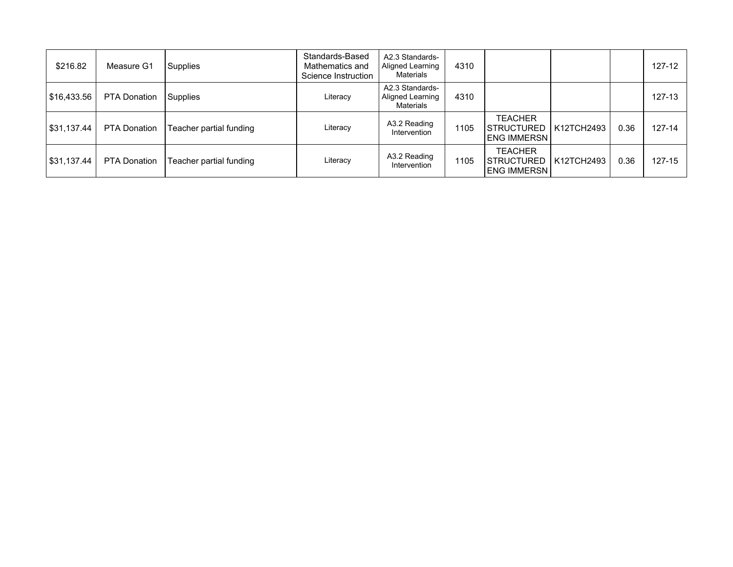| \$216.82    | Measure G1          | Supplies                | Standards-Based<br>Mathematics and<br>Science Instruction | A2.3 Standards-<br>Aligned Learning<br>Materials | 4310 |                                                                 |      | 127-12     |
|-------------|---------------------|-------------------------|-----------------------------------------------------------|--------------------------------------------------|------|-----------------------------------------------------------------|------|------------|
| \$16,433.56 | <b>PTA Donation</b> | Supplies                | Literacy                                                  | A2.3 Standards-<br>Aligned Learning<br>Materials | 4310 |                                                                 |      | $127 - 13$ |
| \$31,137.44 | <b>PTA Donation</b> | Teacher partial funding | Literacy                                                  | A3.2 Reading<br>Intervention                     | 1105 | <b>TEACHER</b><br>STRUCTURED   K12TCH2493<br><b>ENG IMMERSN</b> | 0.36 | $127 - 14$ |
| \$31,137.44 | <b>PTA Donation</b> | Teacher partial funding | Literacy                                                  | A3.2 Reading<br>Intervention                     | 1105 | TEACHER<br>STRUCTURED   K12TCH2493<br><b>ENG IMMERSN I</b>      | 0.36 | 127-15     |